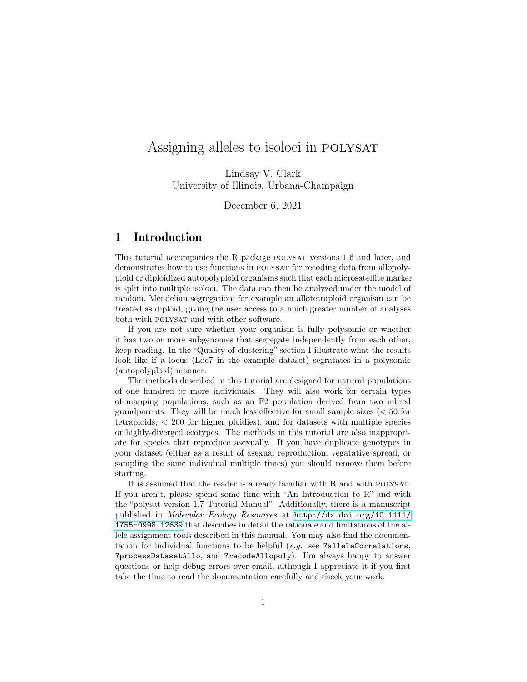# Assigning alleles to isoloci in POLYSAT

Lindsay V. Clark University of Illinois, Urbana-Champaign

December 6, 2021

## 1 Introduction

This tutorial accompanies the R package polysat versions 1.6 and later, and demonstrates how to use functions in polysat for recoding data from allopolyploid or diploidized autopolyploid organisms such that each microsatellite marker is split into multiple isoloci. The data can then be analyzed under the model of random, Mendelian segregation; for example an allotetraploid organism can be treated as diploid, giving the user access to a much greater number of analyses both with POLYSAT and with other software.

If you are not sure whether your organism is fully polysomic or whether it has two or more subgenomes that segregate independently from each other, keep reading. In the "Quality of clustering" section I illustrate what the results look like if a locus (Loc7 in the example dataset) segratates in a polysomic (autopolyploid) manner.

The methods described in this tutorial are designed for natural populations of one hundred or more individuals. They will also work for certain types of mapping populations, such as an F2 population derived from two inbred grandparents. They will be much less effective for small sample sizes  $( $50$  for$ tetraploids, < 200 for higher ploidies), and for datasets with multiple species or highly-diverged ecotypes. The methods in this tutorial are also inappropriate for species that reproduce asexually. If you have duplicate genotypes in your dataset (either as a result of asexual reproduction, vegatative spread, or sampling the same individual multiple times) you should remove them before starting.

It is assumed that the reader is already familiar with R and with polysat. If you aren't, please spend some time with "An Introduction to R" and with the "polysat version 1.7 Tutorial Manual". Additionally, there is a manuscript published in Molecular Ecology Resources at [http://dx.doi.org/10.1111/](http://dx.doi.org/10.1111/1755-0998.12639) [1755-0998.12639](http://dx.doi.org/10.1111/1755-0998.12639) that describes in detail the rationale and limitations of the allele assignment tools described in this manual. You may also find the documentation for individual functions to be helpful  $(e,q)$  see ?alleleCorrelations, ?processDatasetAllo, and ?recodeAllopoly). I'm always happy to answer questions or help debug errors over email, although I appreciate it if you first take the time to read the documentation carefully and check your work.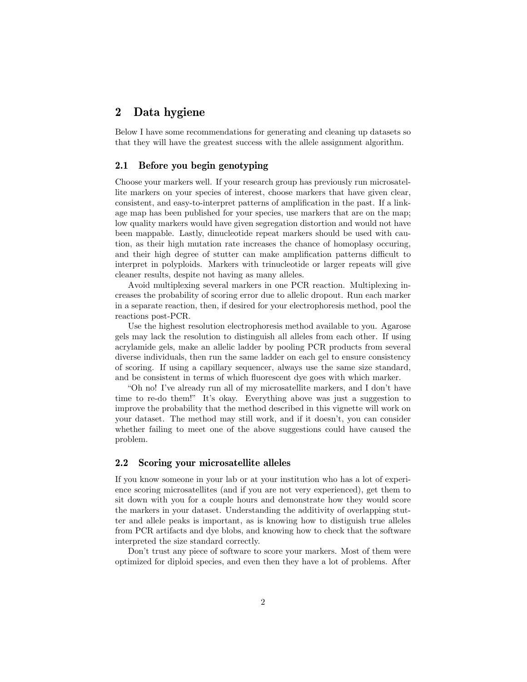## 2 Data hygiene

Below I have some recommendations for generating and cleaning up datasets so that they will have the greatest success with the allele assignment algorithm.

## 2.1 Before you begin genotyping

Choose your markers well. If your research group has previously run microsatellite markers on your species of interest, choose markers that have given clear, consistent, and easy-to-interpret patterns of amplification in the past. If a linkage map has been published for your species, use markers that are on the map; low quality markers would have given segregation distortion and would not have been mappable. Lastly, dinucleotide repeat markers should be used with caution, as their high mutation rate increases the chance of homoplasy occuring, and their high degree of stutter can make amplification patterns difficult to interpret in polyploids. Markers with trinucleotide or larger repeats will give cleaner results, despite not having as many alleles.

Avoid multiplexing several markers in one PCR reaction. Multiplexing increases the probability of scoring error due to allelic dropout. Run each marker in a separate reaction, then, if desired for your electrophoresis method, pool the reactions post-PCR.

Use the highest resolution electrophoresis method available to you. Agarose gels may lack the resolution to distinguish all alleles from each other. If using acrylamide gels, make an allelic ladder by pooling PCR products from several diverse individuals, then run the same ladder on each gel to ensure consistency of scoring. If using a capillary sequencer, always use the same size standard, and be consistent in terms of which fluorescent dye goes with which marker.

"Oh no! I've already run all of my microsatellite markers, and I don't have time to re-do them!" It's okay. Everything above was just a suggestion to improve the probability that the method described in this vignette will work on your dataset. The method may still work, and if it doesn't, you can consider whether failing to meet one of the above suggestions could have caused the problem.

#### 2.2 Scoring your microsatellite alleles

If you know someone in your lab or at your institution who has a lot of experience scoring microsatellites (and if you are not very experienced), get them to sit down with you for a couple hours and demonstrate how they would score the markers in your dataset. Understanding the additivity of overlapping stutter and allele peaks is important, as is knowing how to distiguish true alleles from PCR artifacts and dye blobs, and knowing how to check that the software interpreted the size standard correctly.

Don't trust any piece of software to score your markers. Most of them were optimized for diploid species, and even then they have a lot of problems. After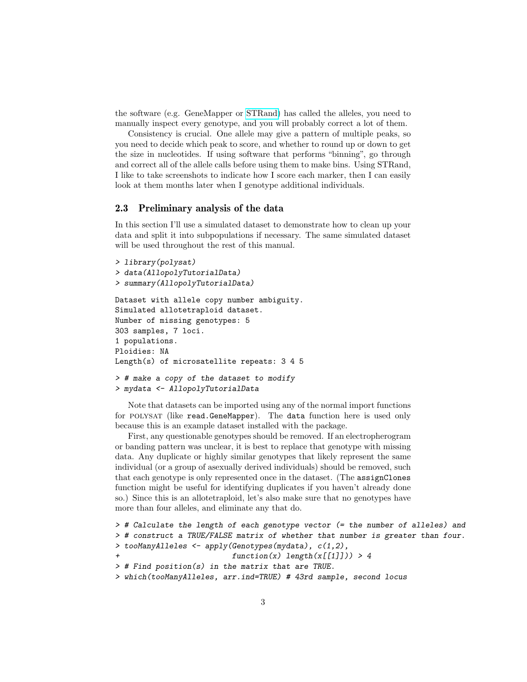the software (e.g. GeneMapper or [STRand\)](http://www.vgl.ucdavis.edu/informatics/strand.php/) has called the alleles, you need to manually inspect every genotype, and you will probably correct a lot of them.

Consistency is crucial. One allele may give a pattern of multiple peaks, so you need to decide which peak to score, and whether to round up or down to get the size in nucleotides. If using software that performs "binning", go through and correct all of the allele calls before using them to make bins. Using STRand, I like to take screenshots to indicate how I score each marker, then I can easily look at them months later when I genotype additional individuals.

## 2.3 Preliminary analysis of the data

In this section I'll use a simulated dataset to demonstrate how to clean up your data and split it into subpopulations if necessary. The same simulated dataset will be used throughout the rest of this manual.

```
> library(polysat)
> data(AllopolyTutorialData)
> summary(AllopolyTutorialData)
Dataset with allele copy number ambiguity.
Simulated allotetraploid dataset.
Number of missing genotypes: 5
303 samples, 7 loci.
1 populations.
Ploidies: NA
Length(s) of microsatellite repeats: 3 4 5
> # make a copy of the dataset to modify
> mydata <- AllopolyTutorialData
```
Note that datasets can be imported using any of the normal import functions for polysat (like read.GeneMapper). The data function here is used only because this is an example dataset installed with the package.

First, any questionable genotypes should be removed. If an electropherogram or banding pattern was unclear, it is best to replace that genotype with missing data. Any duplicate or highly similar genotypes that likely represent the same individual (or a group of asexually derived individuals) should be removed, such that each genotype is only represented once in the dataset. (The assignClones function might be useful for identifying duplicates if you haven't already done so.) Since this is an allotetraploid, let's also make sure that no genotypes have more than four alleles, and eliminate any that do.

```
> # Calculate the length of each genotype vector (= the number of alleles) and
> # construct a TRUE/FALSE matrix of whether that number is greater than four.
> tooManyAlleles \leq apply(Genotypes(mydata), c(1,2),
                          function(x) length(x[[1]])) > 4> # Find position(s) in the matrix that are TRUE.
> which(tooManyAlleles, arr.ind=TRUE) # 43rd sample, second locus
```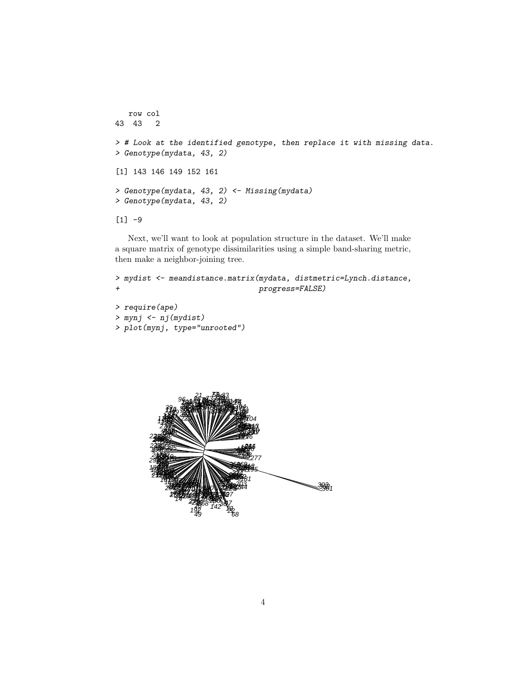```
row col
43 43 2
> # Look at the identified genotype, then replace it with missing data.
> Genotype(mydata, 43, 2)
[1] 143 146 149 152 161
> Genotype(mydata, 43, 2) <- Missing(mydata)
> Genotype(mydata, 43, 2)
[1] -9
```
Next, we'll want to look at population structure in the dataset. We'll make a square matrix of genotype dissimilarities using a simple band-sharing metric, then make a neighbor-joining tree.

```
> mydist <- meandistance.matrix(mydata, distmetric=Lynch.distance,
+ progress=FALSE)
> require(ape)
> mynj <- nj(mydist)
```

```
> plot(mynj, type="unrooted")
```
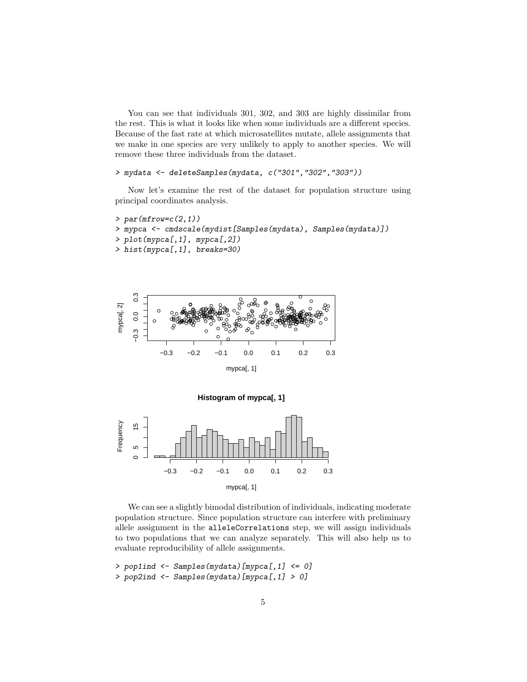You can see that individuals 301, 302, and 303 are highly dissimilar from the rest. This is what it looks like when some individuals are a different species. Because of the fast rate at which microsatellites mutate, allele assignments that we make in one species are very unlikely to apply to another species. We will remove these three individuals from the dataset.

#### > mydata <- deleteSamples(mydata, c("301","302","303"))

Now let's examine the rest of the dataset for population structure using principal coordinates analysis.

```
> par(mfrow=c(2,1))> mypca <- cmdscale(mydist[Samples(mydata), Samples(mydata)])
> plot(mypca[,1], mypca[,2])
> hist(mypca[,1], breaks=30)
```




We can see a slightly bimodal distribution of individuals, indicating moderate population structure. Since population structure can interfere with preliminary allele assignment in the alleleCorrelations step, we will assign individuals to two populations that we can analyze separately. This will also help us to evaluate reproducibility of allele assignments.

```
> pop1ind <- Samples(mydata)[mypca[,1] <= 0]
```

```
> pop2ind <- Samples(mydata)[mypca[,1] > 0]
```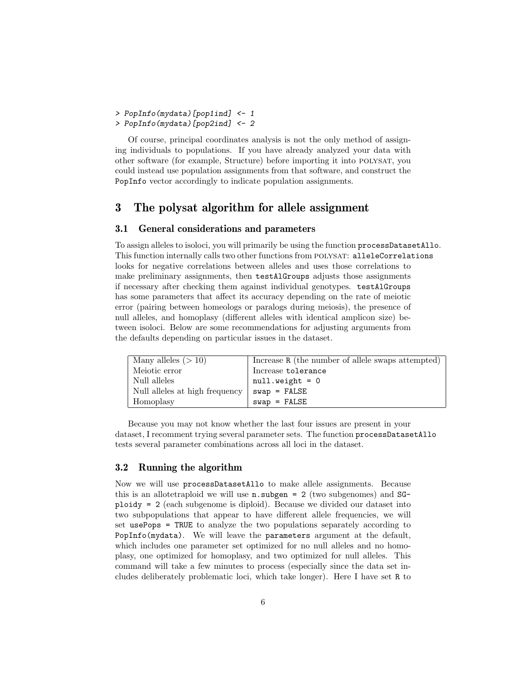> PopInfo(mydata)[pop1ind] <- 1

> PopInfo(mydata)[pop2ind] <- 2

Of course, principal coordinates analysis is not the only method of assigning individuals to populations. If you have already analyzed your data with other software (for example, Structure) before importing it into polysat, you could instead use population assignments from that software, and construct the PopInfo vector accordingly to indicate population assignments.

## 3 The polysat algorithm for allele assignment

### 3.1 General considerations and parameters

To assign alleles to isoloci, you will primarily be using the function processDatasetAllo. This function internally calls two other functions from polysat: alleleCorrelations looks for negative correlations between alleles and uses those correlations to make preliminary assignments, then testAlGroups adjusts those assignments if necessary after checking them against individual genotypes. testAlGroups has some parameters that affect its accuracy depending on the rate of meiotic error (pairing between homeologs or paralogs during meiosis), the presence of null alleles, and homoplasy (different alleles with identical amplicon size) between isoloci. Below are some recommendations for adjusting arguments from the defaults depending on particular issues in the dataset.

| Many alleles $(>10)$           | Increase R (the number of allele swaps attempted) |
|--------------------------------|---------------------------------------------------|
| Meiotic error                  | Increase tolerance                                |
| Null alleles                   | $null.weight = 0$                                 |
| Null alleles at high frequency | $swap = FALSE$                                    |
| Homoplasy                      | $swap = FALSE$                                    |

Because you may not know whether the last four issues are present in your dataset, I recomment trying several parameter sets. The function processDatasetAllo tests several parameter combinations across all loci in the dataset.

### 3.2 Running the algorithm

Now we will use processDatasetAllo to make allele assignments. Because this is an allotetraploid we will use  $n \cdot \text{subgen} = 2$  (two subgenomes) and SGploidy = 2 (each subgenome is diploid). Because we divided our dataset into two subpopulations that appear to have different allele frequencies, we will set usePops = TRUE to analyze the two populations separately according to PopInfo(mydata). We will leave the parameters argument at the default, which includes one parameter set optimized for no null alleles and no homoplasy, one optimized for homoplasy, and two optimized for null alleles. This command will take a few minutes to process (especially since the data set includes deliberately problematic loci, which take longer). Here I have set R to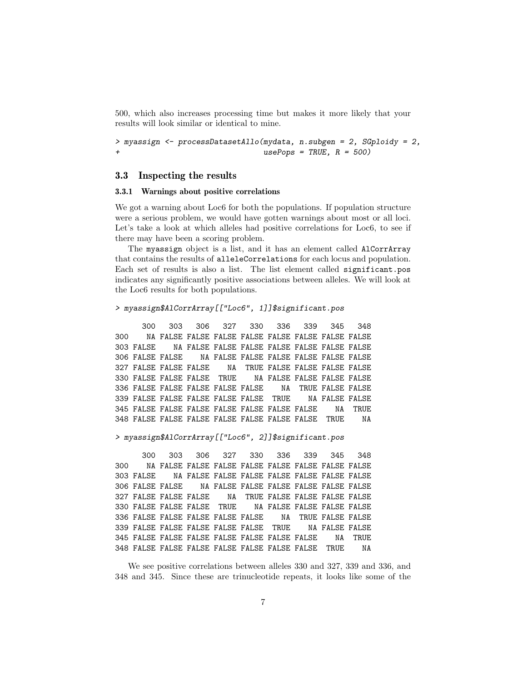500, which also increases processing time but makes it more likely that your results will look similar or identical to mine.

```
> myassign <- processDatasetAllo(mydata, n.subgen = 2, SGploidy = 2,
                                 usePops = TRUE, R = 500)
```
#### 3.3 Inspecting the results

#### 3.3.1 Warnings about positive correlations

We got a warning about Loc6 for both the populations. If population structure were a serious problem, we would have gotten warnings about most or all loci. Let's take a look at which alleles had positive correlations for Loc<sub>6</sub>, to see if there may have been a scoring problem.

The myassign object is a list, and it has an element called AlCorrArray that contains the results of alleleCorrelations for each locus and population. Each set of results is also a list. The list element called significant.pos indicates any significantly positive associations between alleles. We will look at the Loc6 results for both populations.

#### > myassign\$AlCorrArray[["Loc6", 1]]\$significant.pos

300 303 306 327 330 336 339 345 348 300 NA FALSE FALSE FALSE FALSE FALSE FALSE FALSE FALSE 303 FALSE NA FALSE FALSE FALSE FALSE FALSE FALSE FALSE 306 FALSE FALSE NA FALSE FALSE FALSE FALSE FALSE FALSE 327 FALSE FALSE FALSE NA TRUE FALSE FALSE FALSE FALSE 330 FALSE FALSE FALSE TRUE NA FALSE FALSE FALSE FALSE 336 FALSE FALSE FALSE FALSE FALSE NA TRUE FALSE FALSE 339 FALSE FALSE FALSE FALSE FALSE TRUE NA FALSE FALSE 345 FALSE FALSE FALSE FALSE FALSE FALSE FALSE NA TRUE 348 FALSE FALSE FALSE FALSE FALSE FALSE FALSE TRUE NA

#### > myassign\$AlCorrArray[["Loc6", 2]]\$significant.pos

300 303 306 327 330 336 339 345 348 300 NA FALSE FALSE FALSE FALSE FALSE FALSE FALSE FALSE 303 FALSE NA FALSE FALSE FALSE FALSE FALSE FALSE FALSE 306 FALSE FALSE NA FALSE FALSE FALSE FALSE FALSE FALSE 327 FALSE FALSE FALSE NA TRUE FALSE FALSE FALSE FALSE 330 FALSE FALSE FALSE TRUE NA FALSE FALSE FALSE FALSE 336 FALSE FALSE FALSE FALSE FALSE NA TRUE FALSE FALSE 339 FALSE FALSE FALSE FALSE FALSE TRUE NA FALSE FALSE 345 FALSE FALSE FALSE FALSE FALSE FALSE FALSE NA TRUE 348 FALSE FALSE FALSE FALSE FALSE FALSE FALSE TRUE NA

We see positive correlations between alleles 330 and 327, 339 and 336, and 348 and 345. Since these are trinucleotide repeats, it looks like some of the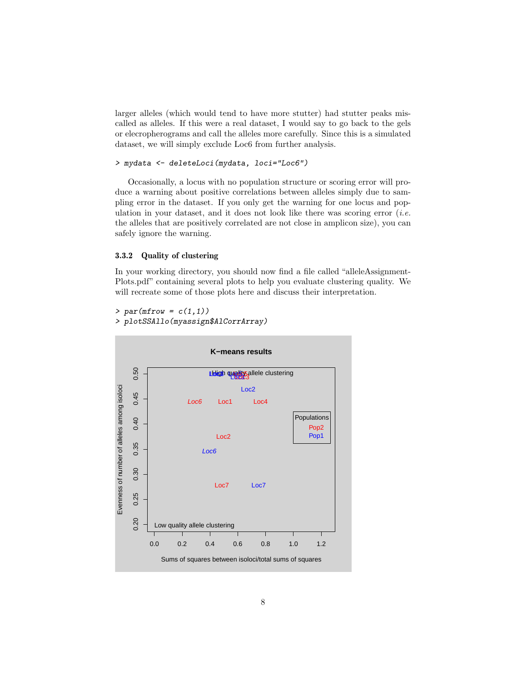larger alleles (which would tend to have more stutter) had stutter peaks miscalled as alleles. If this were a real dataset, I would say to go back to the gels or elecropherograms and call the alleles more carefully. Since this is a simulated dataset, we will simply exclude Loc6 from further analysis.

```
> mydata <- deleteLoci(mydata, loci="Loc6")
```
Occasionally, a locus with no population structure or scoring error will produce a warning about positive correlations between alleles simply due to sampling error in the dataset. If you only get the warning for one locus and population in your dataset, and it does not look like there was scoring error  $(i.e.$ the alleles that are positively correlated are not close in amplicon size), you can safely ignore the warning.

### 3.3.2 Quality of clustering

In your working directory, you should now find a file called "alleleAssignment-Plots.pdf" containing several plots to help you evaluate clustering quality. We will recreate some of those plots here and discuss their interpretation.

```
> par(mfrow = c(1,1))> plotSSAllo(myassign$AlCorrArray)
```
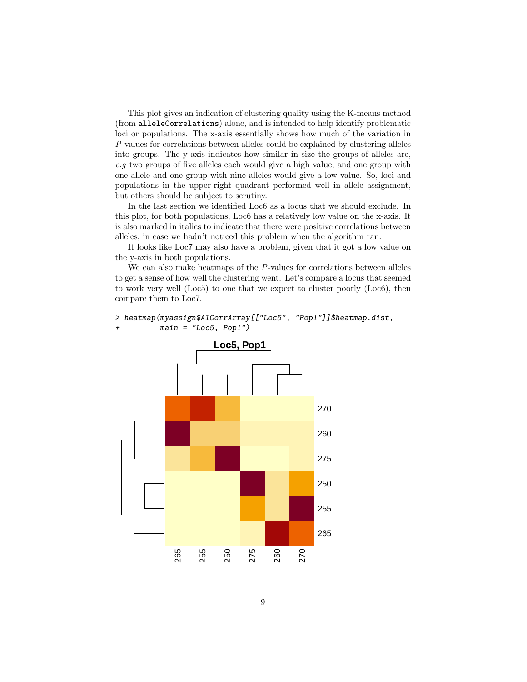This plot gives an indication of clustering quality using the K-means method (from alleleCorrelations) alone, and is intended to help identify problematic loci or populations. The x-axis essentially shows how much of the variation in P-values for correlations between alleles could be explained by clustering alleles into groups. The y-axis indicates how similar in size the groups of alleles are, e.g two groups of five alleles each would give a high value, and one group with one allele and one group with nine alleles would give a low value. So, loci and populations in the upper-right quadrant performed well in allele assignment, but others should be subject to scrutiny.

In the last section we identified Loc6 as a locus that we should exclude. In this plot, for both populations, Loc6 has a relatively low value on the x-axis. It is also marked in italics to indicate that there were positive correlations between alleles, in case we hadn't noticed this problem when the algorithm ran.

It looks like Loc7 may also have a problem, given that it got a low value on the y-axis in both populations.

We can also make heatmaps of the P-values for correlations between alleles to get a sense of how well the clustering went. Let's compare a locus that seemed to work very well (Loc5) to one that we expect to cluster poorly (Loc6), then compare them to Loc7.

#### > heatmap(myassign\$AlCorrArray[["Loc5", "Pop1"]]\$heatmap.dist, + main = "Loc5, Pop1")

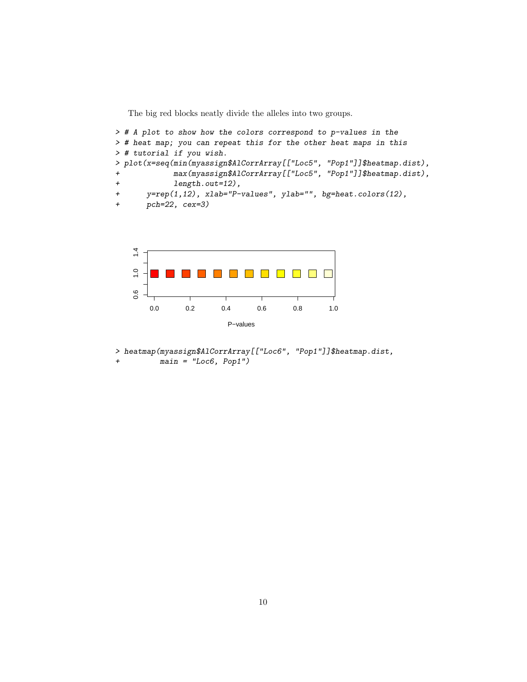The big red blocks neatly divide the alleles into two groups.

```
> # A plot to show how the colors correspond to p-values in the
> # heat map; you can repeat this for the other heat maps in this
> # tutorial if you wish.
> plot(x=seq(min(myassign$AlCorrArray[["Loc5", "Pop1"]]$heatmap.dist),
+ max(myassign$AlCorrArray[["Loc5", "Pop1"]]$heatmap.dist),
+ length.out=12),
+ y=rep(1,12), xlab="P-values", ylab="", bg=heat.colors(12),
+ pch=22, cex=3)
```


> heatmap(myassign\$AlCorrArray[["Loc6", "Pop1"]]\$heatmap.dist,  $main = "Loc6, Pop1")$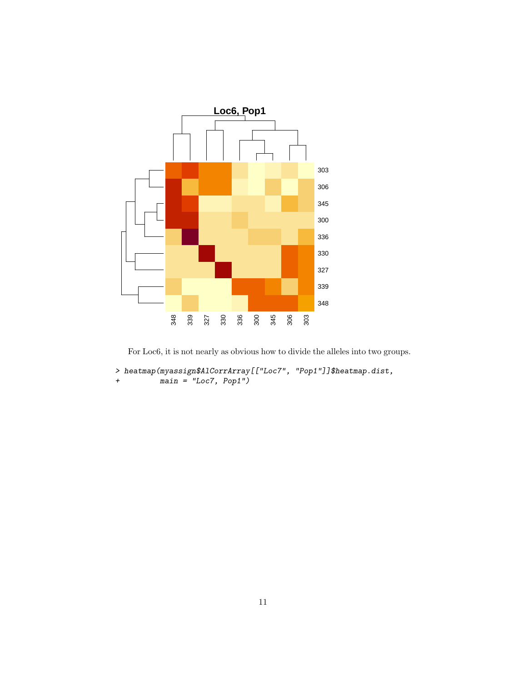

For Loc6, it is not nearly as obvious how to divide the alleles into two groups.

```
> heatmap(myassign$AlCorrArray[["Loc7", "Pop1"]]$heatmap.dist,
+ main = "Loc7, Pop1")
```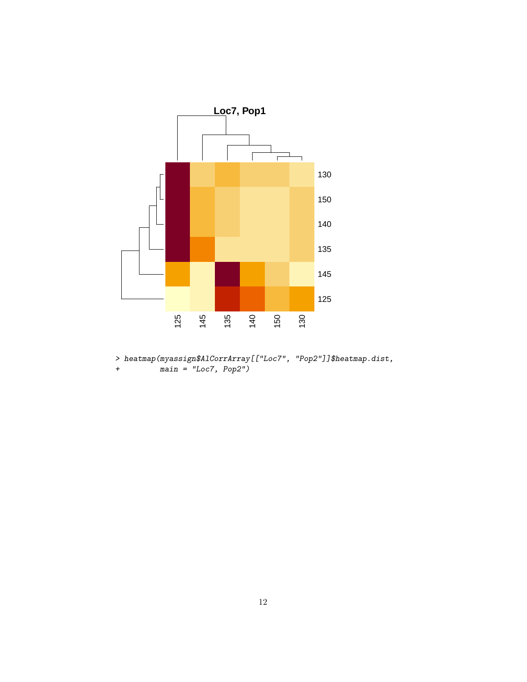

> heatmap(myassign\$AlCorrArray[["Loc7", "Pop2"]]\$heatmap.dist,  $main = "Loc7, Pop2")$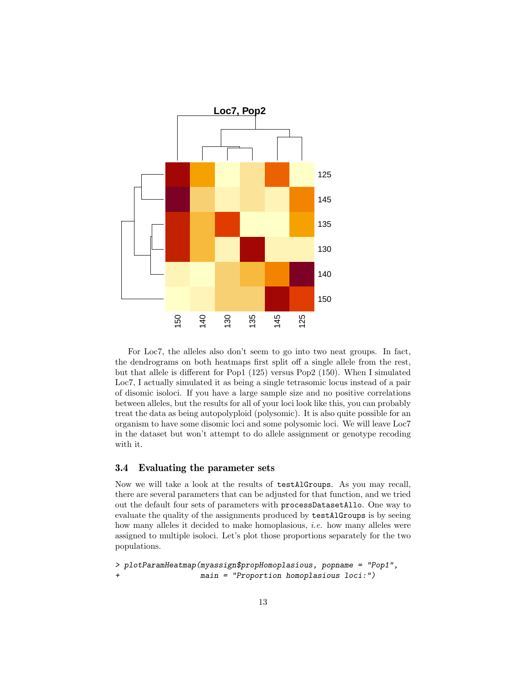

For Loc7, the alleles also don't seem to go into two neat groups. In fact, the dendrograms on both heatmaps first split off a single allele from the rest, but that allele is different for Pop1 (125) versus Pop2 (150). When I simulated Loc7, I actually simulated it as being a single tetrasomic locus instead of a pair of disomic isoloci. If you have a large sample size and no positive correlations between alleles, but the results for all of your loci look like this, you can probably treat the data as being autopolyploid (polysomic). It is also quite possible for an organism to have some disomic loci and some polysomic loci. We will leave Loc7 in the dataset but won't attempt to do allele assignment or genotype recoding with it.

### 3.4 Evaluating the parameter sets

Now we will take a look at the results of testAlGroups. As you may recall, there are several parameters that can be adjusted for that function, and we tried out the default four sets of parameters with processDatasetAllo. One way to evaluate the quality of the assignments produced by testAlGroups is by seeing how many alleles it decided to make homoplasious, *i.e.* how many alleles were assigned to multiple isoloci. Let's plot those proportions separately for the two populations.

```
> plotParamHeatmap(myassign$propHomoplasious, popname = "Pop1",
+ main = "Proportion homoplasious loci:")
```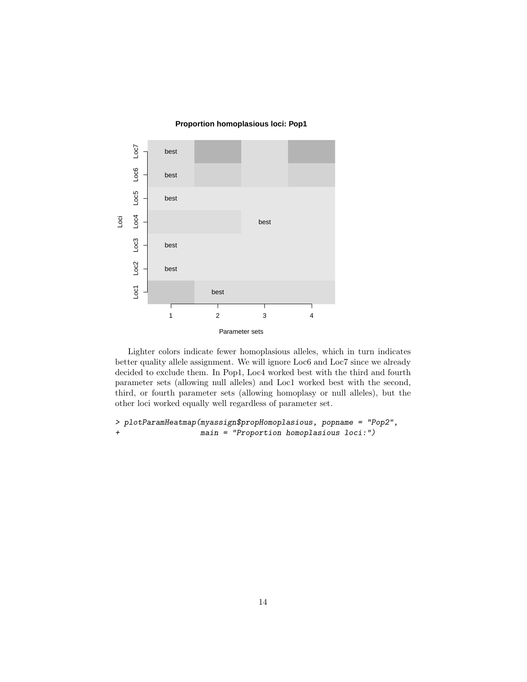#### **Proportion homoplasious loci: Pop1**



Lighter colors indicate fewer homoplasious alleles, which in turn indicates better quality allele assignment. We will ignore Loc6 and Loc7 since we already decided to exclude them. In Pop1, Loc4 worked best with the third and fourth parameter sets (allowing null alleles) and Loc1 worked best with the second, third, or fourth parameter sets (allowing homoplasy or null alleles), but the other loci worked equally well regardless of parameter set.

> plotParamHeatmap(myassign\$propHomoplasious, popname = "Pop2", + main = "Proportion homoplasious loci:")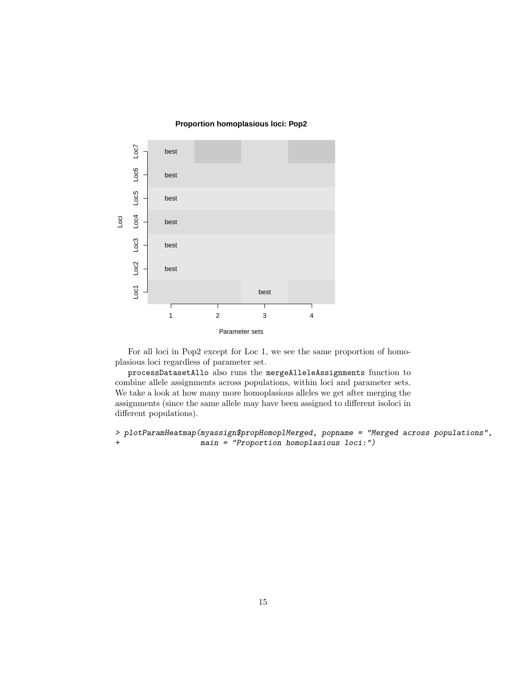#### **Proportion homoplasious loci: Pop2**



For all loci in Pop2 except for Loc 1, we see the same proportion of homoplasious loci regardless of parameter set.

processDatasetAllo also runs the mergeAlleleAssignments function to combine allele assignments across populations, within loci and parameter sets. We take a look at how many more homoplasious alleles we get after merging the assignments (since the same allele may have been assigned to different isoloci in different populations).

> plotParamHeatmap(myassign\$propHomoplMerged, popname = "Merged across populations", + main = "Proportion homoplasious loci:")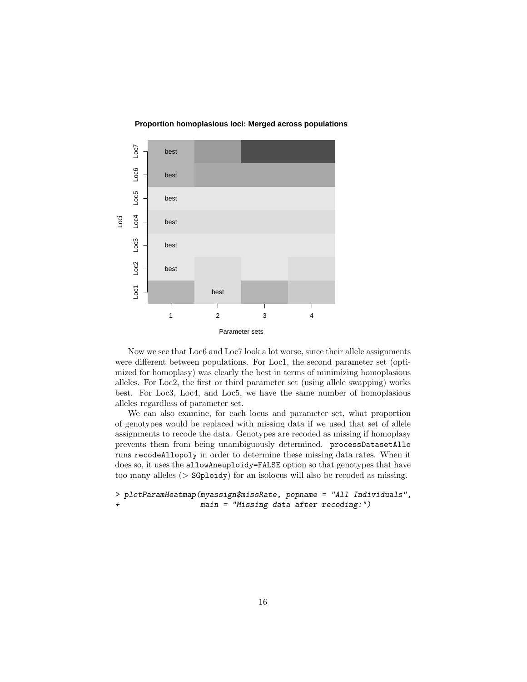



Now we see that Loc6 and Loc7 look a lot worse, since their allele assignments were different between populations. For Loc1, the second parameter set (optimized for homoplasy) was clearly the best in terms of minimizing homoplasious alleles. For Loc2, the first or third parameter set (using allele swapping) works best. For Loc3, Loc4, and Loc5, we have the same number of homoplasious alleles regardless of parameter set.

We can also examine, for each locus and parameter set, what proportion of genotypes would be replaced with missing data if we used that set of allele assignments to recode the data. Genotypes are recoded as missing if homoplasy prevents them from being unambiguously determined. processDatasetAllo runs recodeAllopoly in order to determine these missing data rates. When it does so, it uses the allowAneuploidy=FALSE option so that genotypes that have too many alleles (> SGploidy) for an isolocus will also be recoded as missing.

```
> plotParamHeatmap(myassign$missRate, popname = "All Individuals",
+ main = "Missing data after recoding:")
```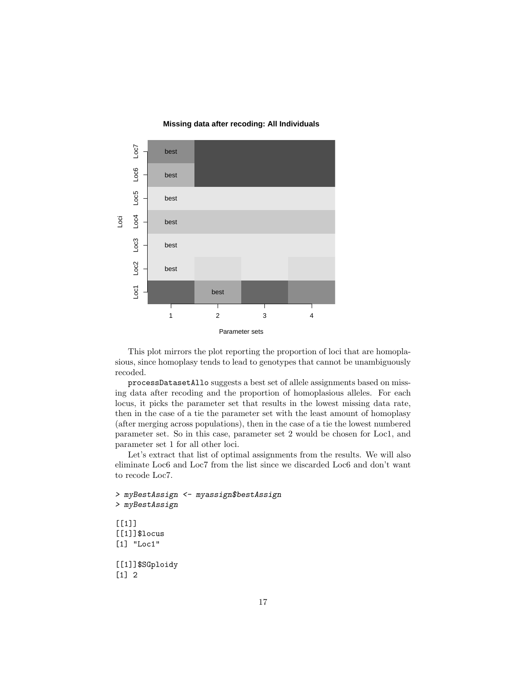#### **Missing data after recoding: All Individuals**



This plot mirrors the plot reporting the proportion of loci that are homoplasious, since homoplasy tends to lead to genotypes that cannot be unambiguously recoded.

processDatasetAllo suggests a best set of allele assignments based on missing data after recoding and the proportion of homoplasious alleles. For each locus, it picks the parameter set that results in the lowest missing data rate, then in the case of a tie the parameter set with the least amount of homoplasy (after merging across populations), then in the case of a tie the lowest numbered parameter set. So in this case, parameter set 2 would be chosen for Loc1, and parameter set 1 for all other loci.

Let's extract that list of optimal assignments from the results. We will also eliminate Loc6 and Loc7 from the list since we discarded Loc6 and don't want to recode Loc7.

```
> myBestAssign <- myassign$bestAssign
> myBestAssign
[[1][[1]]$locus
[1] "Loc1"
[[1]]$SGploidy
[1] 2
```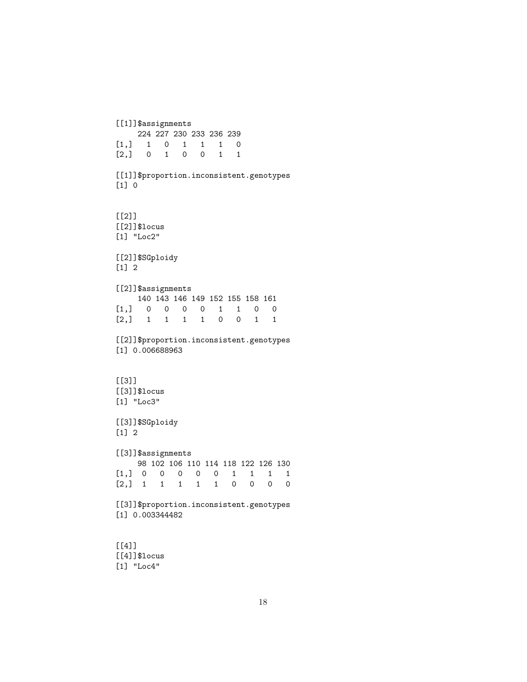```
[[4]]$locus
[1] "Loc4"
```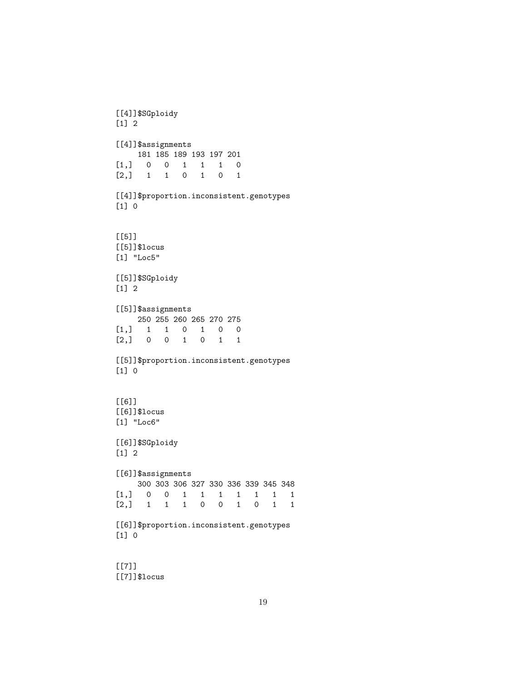[[7]]\$locus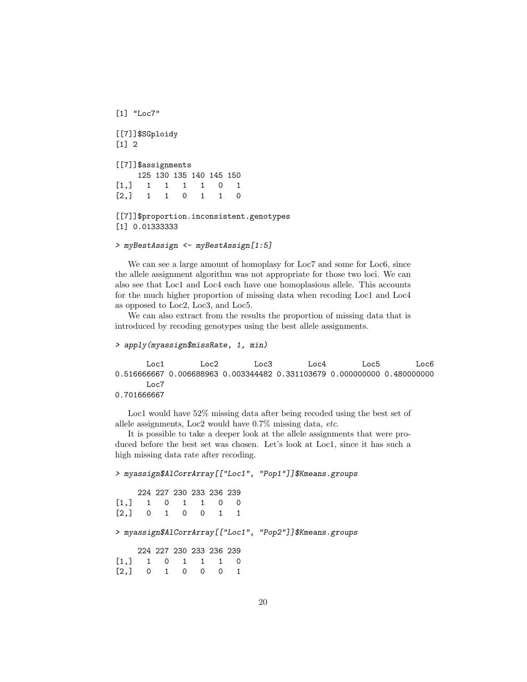```
[1] "Loc7"
[[7]]$SGploidy
[1] 2
[[7]]$assignments
    125 130 135 140 145 150
[1,] 1 1 1 1 0 1
[2,] 1 1 0 1 1 0[[7]]$proportion.inconsistent.genotypes
[1] 0.01333333
```

```
> myBestAssign <- myBestAssign[1:5]
```
We can see a large amount of homoplasy for Loc7 and some for Loc6, since the allele assignment algorithm was not appropriate for those two loci. We can also see that Loc1 and Loc4 each have one homoplasious allele. This accounts for the much higher proportion of missing data when recoding Loc1 and Loc4 as opposed to Loc2, Loc3, and Loc5.

We can also extract from the results the proportion of missing data that is introduced by recoding genotypes using the best allele assignments.

```
> apply(myassign$missRate, 1, min)
```
Loc1 Loc2 Loc3 Loc4 Loc5 Loc6 0.516666667 0.006688963 0.003344482 0.331103679 0.000000000 0.480000000 Loc7 0.701666667

Loc1 would have  $52\%$  missing data after being recoded using the best set of allele assignments, Loc2 would have 0.7% missing data, etc.

It is possible to take a deeper look at the allele assignments that were produced before the best set was chosen. Let's look at Loc1, since it has such a high missing data rate after recoding.

> myassign\$AlCorrArray[["Loc1", "Pop1"]]\$Kmeans.groups

|                  |  | 224 227 230 233 236 239 |  |
|------------------|--|-------------------------|--|
| [1,] 1 0 1 1 0 0 |  |                         |  |
| [2,] 0 1 0 0 1 1 |  |                         |  |

> myassign\$AlCorrArray[["Loc1", "Pop2"]]\$Kmeans.groups

|                  |  | 224 227 230 233 236 239 |  |
|------------------|--|-------------------------|--|
| [1,] 1 0 1 1 1 0 |  |                         |  |
| [2,] 0 1 0 0 0 1 |  |                         |  |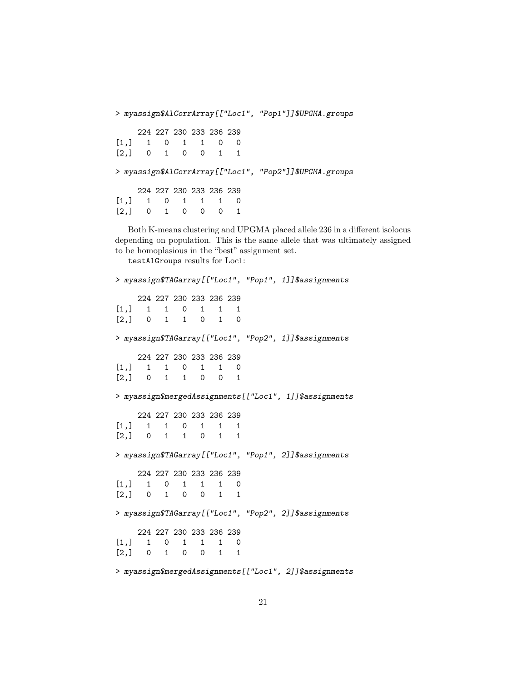> myassign\$AlCorrArray[["Loc1", "Pop1"]]\$UPGMA.groups 224 227 230 233 236 239 [1,] 1 0 1 1 0 0  $[2,] 0 1 0 0 1 1$ > myassign\$AlCorrArray[["Loc1", "Pop2"]]\$UPGMA.groups 224 227 230 233 236 239  $[1,] 1 0 1 1 1 0$ [2,] 0 1 0 0 0 1

Both K-means clustering and UPGMA placed allele 236 in a different isolocus depending on population. This is the same allele that was ultimately assigned to be homoplasious in the "best" assignment set.

testAlGroups results for Loc1: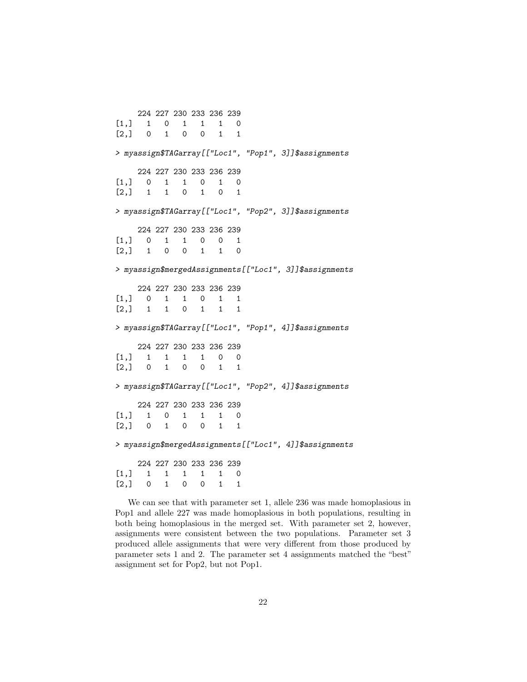We can see that with parameter set 1, allele 236 was made homoplasious in Pop1 and allele 227 was made homoplasious in both populations, resulting in both being homoplasious in the merged set. With parameter set 2, however, assignments were consistent between the two populations. Parameter set 3 produced allele assignments that were very different from those produced by parameter sets 1 and 2. The parameter set 4 assignments matched the "best" assignment set for Pop2, but not Pop1.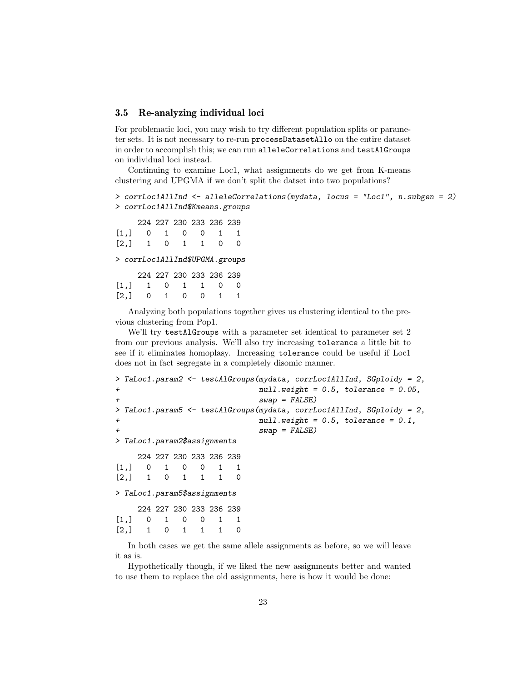#### 3.5 Re-analyzing individual loci

For problematic loci, you may wish to try different population splits or parameter sets. It is not necessary to re-run processDatasetAllo on the entire dataset in order to accomplish this; we can run alleleCorrelations and testAlGroups on individual loci instead.

Continuing to examine Loc1, what assignments do we get from K-means clustering and UPGMA if we don't split the datset into two populations?

```
> corrLoc1AllInd <- alleleCorrelations(mydata, locus = "Loc1", n.subgen = 2)
> corrLoc1AllInd$Kmeans.groups
```
224 227 230 233 236 239 [1,] 0 1 0 0 1 1 [2,] 1 0 1 1 0 0 > corrLoc1AllInd\$UPGMA.groups 224 227 230 233 236 239  $[1,] 1 0 1 1 0 0$ [2,] 0 1 0 0 1 1

Analyzing both populations together gives us clustering identical to the previous clustering from Pop1.

We'll try testAlGroups with a parameter set identical to parameter set 2 from our previous analysis. We'll also try increasing tolerance a little bit to see if it eliminates homoplasy. Increasing tolerance could be useful if Loc1 does not in fact segregate in a completely disomic manner.

```
> TaLoc1.param2 <- testAlGroups(mydata, corrLoc1AllInd, SGploidy = 2,
+ null.weight = 0.5, tolerance = 0.05,
                         swap = FALSE)> TaLoc1.param5 <- testAlGroups(mydata, corrLoc1AllInd, SGploidy = 2,
+ null.weight = 0.5, tolerance = 0.1,
                         swap = FALSE)> TaLoc1.param2$assignments
    224 227 230 233 236 239
[1,] 0 1 0 0 1 1
[2,] 1 0 1 1 1 0> TaLoc1.param5$assignments
    224 227 230 233 236 239
[1,] 0 1 0 0 1 1
[2,] 1 0 1 1 1 0
```
In both cases we get the same allele assignments as before, so we will leave it as is.

Hypothetically though, if we liked the new assignments better and wanted to use them to replace the old assignments, here is how it would be done: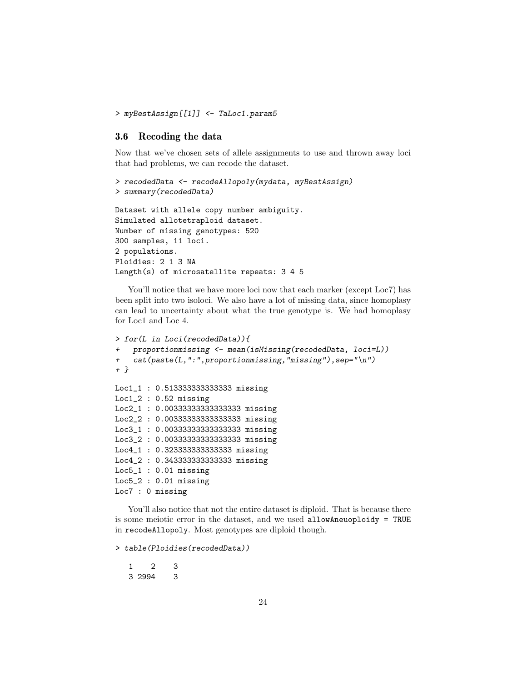```
> myBestAssign[[1]] <- TaLoc1.param5
```
## 3.6 Recoding the data

Now that we've chosen sets of allele assignments to use and thrown away loci that had problems, we can recode the dataset.

```
> recodedData <- recodeAllopoly(mydata, myBestAssign)
> summary(recodedData)
Dataset with allele copy number ambiguity.
Simulated allotetraploid dataset.
Number of missing genotypes: 520
300 samples, 11 loci.
2 populations.
Ploidies: 2 1 3 NA
Length(s) of microsatellite repeats: 3 4 5
```
You'll notice that we have more loci now that each marker (except Loc7) has been split into two isoloci. We also have a lot of missing data, since homoplasy can lead to uncertainty about what the true genotype is. We had homoplasy for Loc1 and Loc 4.

```
> for(L in Loci(recodedData)){
    proportionmissing <- mean(isMissing(recodedData, loci=L))
+ cat(paste(L,":",proportionmissing,"missing"),sep="\n")
+ }
Loc1_1 : 0.513333333333333 missing
Loc1_2 : 0.52 missing
Loc2_1 : 0.00333333333333333 missing
Loc2_2 : 0.00333333333333333 missing
Loc3_1 : 0.00333333333333333 missing
Loc3_2 : 0.00333333333333333 missing
Loc4_1 : 0.323333333333333 missing
Loc4_2 : 0.343333333333333 missing
Loc5_1 : 0.01 missing
Loc5_2 : 0.01 missing
Loc7 : 0 missing
```
You'll also notice that not the entire dataset is diploid. That is because there is some meiotic error in the dataset, and we used allowAneuoploidy = TRUE in recodeAllopoly. Most genotypes are diploid though.

> table(Ploidies(recodedData))

```
1 2 3
3 2994 3
```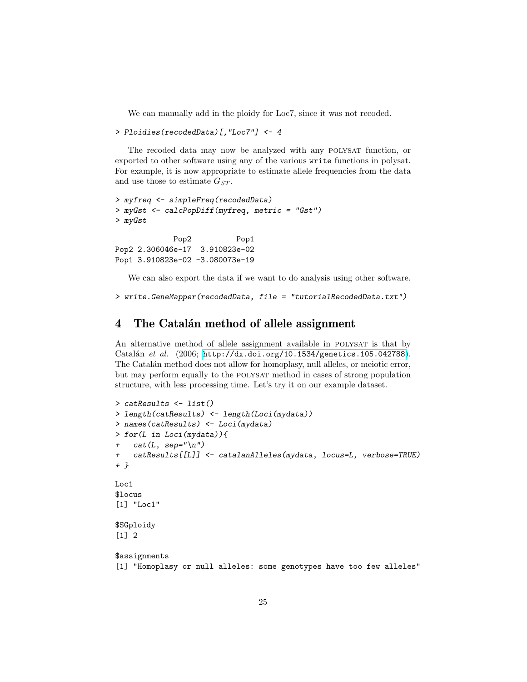We can manually add in the ploidy for Loc7, since it was not recoded.

```
> Ploidies(recodedData)[,"Loc7"] <- 4
```
The recoded data may now be analyzed with any POLYSAT function, or exported to other software using any of the various write functions in polysat. For example, it is now appropriate to estimate allele frequencies from the data and use those to estimate  $G_{ST}$ .

```
> myfreq <- simpleFreq(recodedData)
> myGst <- calcPopDiff(myfreq, metric = "Gst")
> myGst
            Pop2 Pop1
Pop2 2.306046e-17 3.910823e-02
Pop1 3.910823e-02 -3.080073e-19
```
We can also export the data if we want to do analysis using other software.

```
> write.GeneMapper(recodedData, file = "tutorialRecodedData.txt")
```
## 4 The Catalán method of allele assignment

An alternative method of allele assignment available in POLYSAT is that by Catalán et al. (2006; <http://dx.doi.org/10.1534/genetics.105.042788>). The Catalán method does not allow for homoplasy, null alleles, or meiotic error, but may perform equally to the polysat method in cases of strong population structure, with less processing time. Let's try it on our example dataset.

```
> catResults <- list()
> length(catResults) <- length(Loci(mydata))
> names(catResults) <- Loci(mydata)
> for(L in Loci(mydata)){
    cat(L, sep="\n'\n')+ catResults[[L]] <- catalanAlleles(mydata, locus=L, verbose=TRUE)
+ }
Loc1
$locus
[1] "Loc1"
$SGploidy
[1] 2
$assignments
[1] "Homoplasy or null alleles: some genotypes have too few alleles"
```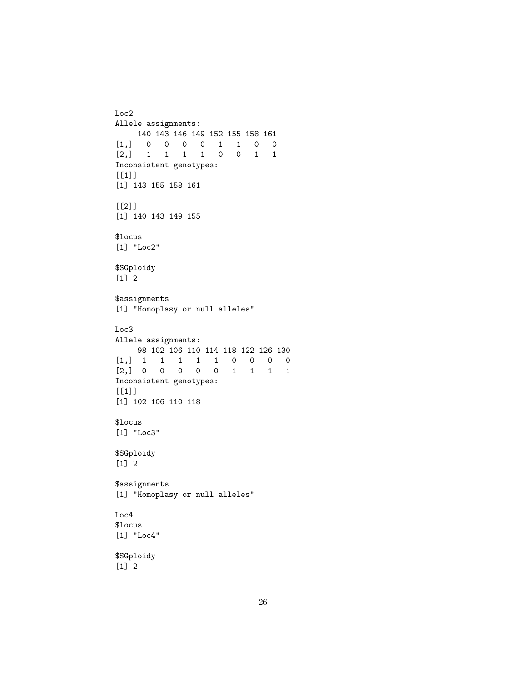```
Loc2
Allele assignments:
  140 143 146 149 152 155 158 161
[1,] 0 0 0 0 1 1 0 0
[2,] 1 1 1 1 0 0 1 1
Inconsistent genotypes:
[1]]
[1] 143 155 158 161
[[2]]
[1] 140 143 149 155
$locus
[1] "Loc2"
$SGploidy
[1] 2
$assignments
[1] "Homoplasy or null alleles"
Loc3
Allele assignments:
    98 102 106 110 114 118 122 126 130
[1,] 1 1 1 1 1 0 0 0 0
[2,] 0 0 0 0 0 1 1 1 1
Inconsistent genotypes:
[1]]
[1] 102 106 110 118
$locus
[1] "Loc3"
$SGploidy
[1] 2
$assignments
[1] "Homoplasy or null alleles"
Loc4
$locus
[1] "Loc4"
$SGploidy
```
[1] 2